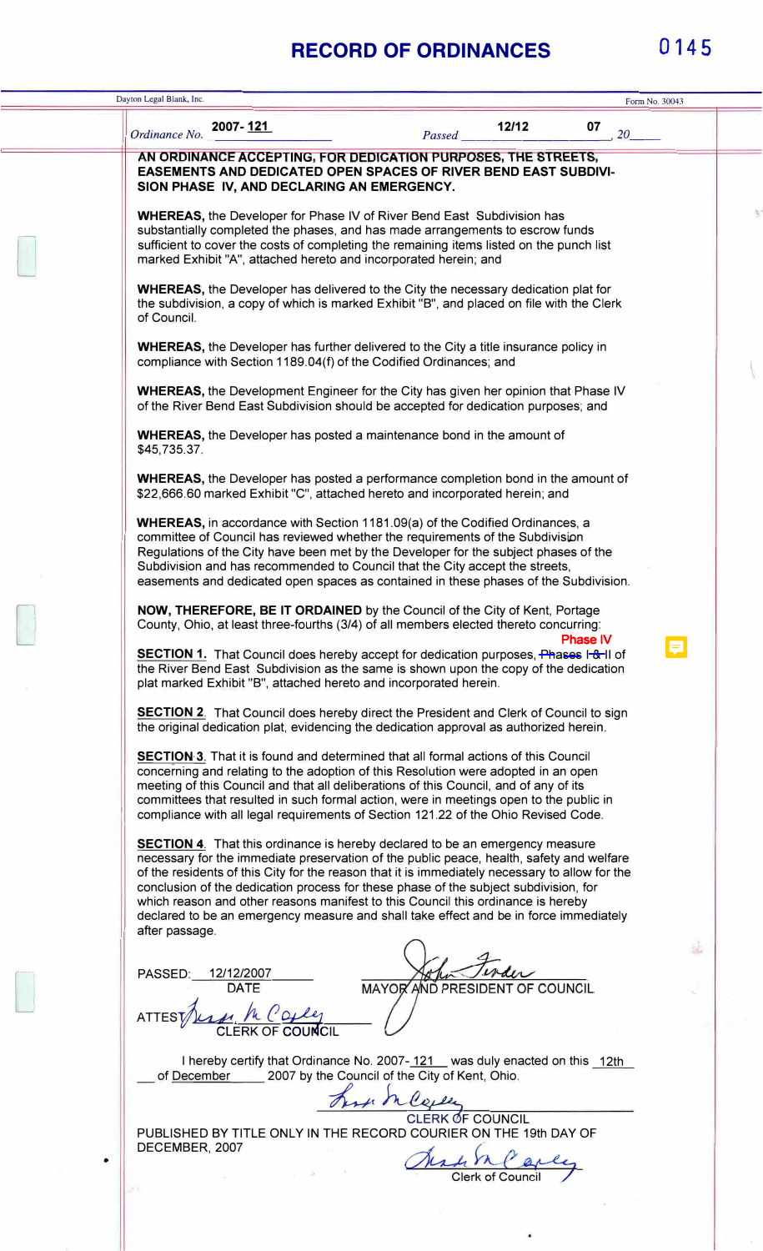## **RECORD OF ORDINANCES 0145**

|   | Dayton Legal Blank, Inc.                                                                                                                                                                                                                                                                                                                                                                                                                                                                                                                                                 |                |  |
|---|--------------------------------------------------------------------------------------------------------------------------------------------------------------------------------------------------------------------------------------------------------------------------------------------------------------------------------------------------------------------------------------------------------------------------------------------------------------------------------------------------------------------------------------------------------------------------|----------------|--|
|   |                                                                                                                                                                                                                                                                                                                                                                                                                                                                                                                                                                          | Form No. 30043 |  |
|   | 2007-121<br>12/12<br>07<br>20<br>Ordinance No.<br>Passed                                                                                                                                                                                                                                                                                                                                                                                                                                                                                                                 |                |  |
|   | AN ORDINANCE ACCEPTING, FOR DEDICATION PURPOSES, THE STREETS,<br><b>EASEMENTS AND DEDICATED OPEN SPACES OF RIVER BEND EAST SUBDIVI-</b><br>SION PHASE IV, AND DECLARING AN EMERGENCY.                                                                                                                                                                                                                                                                                                                                                                                    |                |  |
|   | <b>WHEREAS, the Developer for Phase IV of River Bend East Subdivision has</b><br>substantially completed the phases, and has made arrangements to escrow funds<br>sufficient to cover the costs of completing the remaining items listed on the punch list<br>marked Exhibit "A", attached hereto and incorporated herein; and                                                                                                                                                                                                                                           |                |  |
|   | <b>WHEREAS</b> , the Developer has delivered to the City the necessary dedication plat for<br>the subdivision, a copy of which is marked Exhibit "B", and placed on file with the Clerk<br>of Council.                                                                                                                                                                                                                                                                                                                                                                   |                |  |
|   | <b>WHEREAS</b> , the Developer has further delivered to the City a title insurance policy in<br>compliance with Section 1189.04(f) of the Codified Ordinances; and                                                                                                                                                                                                                                                                                                                                                                                                       |                |  |
|   | <b>WHEREAS</b> , the Development Engineer for the City has given her opinion that Phase IV<br>of the River Bend East Subdivision should be accepted for dedication purposes; and                                                                                                                                                                                                                                                                                                                                                                                         |                |  |
|   | <b>WHEREAS</b> , the Developer has posted a maintenance bond in the amount of<br>\$45,735.37.                                                                                                                                                                                                                                                                                                                                                                                                                                                                            |                |  |
|   | <b>WHEREAS</b> , the Developer has posted a performance completion bond in the amount of<br>\$22,666.60 marked Exhibit "C", attached hereto and incorporated herein; and                                                                                                                                                                                                                                                                                                                                                                                                 |                |  |
|   | <b>WHEREAS</b> , in accordance with Section 1181.09(a) of the Codified Ordinances, a<br>committee of Council has reviewed whether the requirements of the Subdivision<br>Regulations of the City have been met by the Developer for the subject phases of the<br>Subdivision and has recommended to Council that the City accept the streets,<br>easements and dedicated open spaces as contained in these phases of the Subdivision.                                                                                                                                    |                |  |
|   | NOW, THEREFORE, BE IT ORDAINED by the Council of the City of Kent, Portage<br>County, Ohio, at least three-fourths (3/4) of all members elected thereto concurring:<br><b>Phase IV</b>                                                                                                                                                                                                                                                                                                                                                                                   |                |  |
|   | SECTION 1. That Council does hereby accept for dedication purposes, Phases I-&-II of<br>the River Bend East Subdivision as the same is shown upon the copy of the dedication<br>plat marked Exhibit "B", attached hereto and incorporated herein.                                                                                                                                                                                                                                                                                                                        |                |  |
|   | <b>SECTION 2.</b> That Council does hereby direct the President and Clerk of Council to sign<br>the original dedication plat, evidencing the dedication approval as authorized herein.                                                                                                                                                                                                                                                                                                                                                                                   |                |  |
|   | <b>SECTION 3.</b> That it is found and determined that all formal actions of this Council<br>concerning and relating to the adoption of this Resolution were adopted in an open<br>meeting of this Council and that all deliberations of this Council, and of any of its<br>committees that resulted in such formal action, were in meetings open to the public in<br>compliance with all legal requirements of Section 121.22 of the Ohio Revised Code.                                                                                                                 |                |  |
|   | <b>SECTION 4.</b> That this ordinance is hereby declared to be an emergency measure<br>necessary for the immediate preservation of the public peace, health, safety and welfare<br>of the residents of this City for the reason that it is immediately necessary to allow for the<br>conclusion of the dedication process for these phase of the subject subdivision, for<br>which reason and other reasons manifest to this Council this ordinance is hereby<br>declared to be an emergency measure and shall take effect and be in force immediately<br>after passage. |                |  |
|   | PASSED:<br>12/12/2007                                                                                                                                                                                                                                                                                                                                                                                                                                                                                                                                                    |                |  |
|   | MAYOR AND PRESIDENT OF COUNCIL<br><b>DATE</b><br><b>CLERK OF COUNCIL</b>                                                                                                                                                                                                                                                                                                                                                                                                                                                                                                 |                |  |
|   | I hereby certify that Ordinance No. 2007-121 was duly enacted on this 12th<br>2007 by the Council of the City of Kent, Ohio.<br>of December                                                                                                                                                                                                                                                                                                                                                                                                                              |                |  |
|   | use maye<br><b>ERK OF COUNCIL</b><br>PUBLISHED BY TITLE ONLY IN THE RECORD COURIER ON THE 19th DAY OF<br>DECEMBER, 2007                                                                                                                                                                                                                                                                                                                                                                                                                                                  |                |  |
| ٠ |                                                                                                                                                                                                                                                                                                                                                                                                                                                                                                                                                                          |                |  |